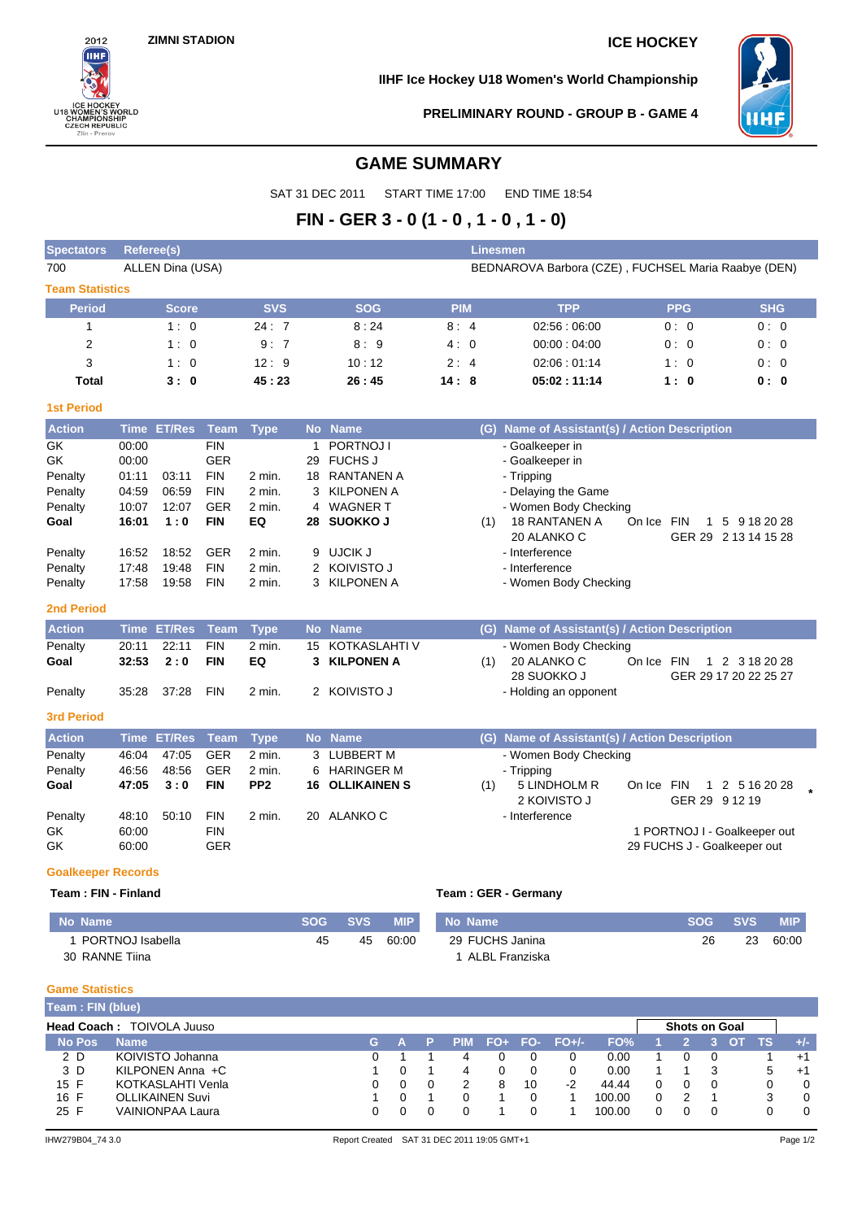

**IIHF Ice Hockey U18 Women's World Championship**



**PRELIMINARY ROUND - GROUP B - GAME 4**

## **GAME SUMMARY**

SAT 31 DEC 2011 START TIME 17:00 END TIME 18:54

## **FIN - GER 3 - 0 (1 - 0 , 1 - 0 , 1 - 0)**

| <b>Spectators</b>         | <b>Referee(s)</b> |                  |             |                 |           |                      |            |     | <b>Linesmen</b>                                     |            |              |                                         |  |
|---------------------------|-------------------|------------------|-------------|-----------------|-----------|----------------------|------------|-----|-----------------------------------------------------|------------|--------------|-----------------------------------------|--|
| 700                       |                   | ALLEN Dina (USA) |             |                 |           |                      |            |     | BEDNAROVA Barbora (CZE), FUCHSEL Maria Raabye (DEN) |            |              |                                         |  |
| <b>Team Statistics</b>    |                   |                  |             |                 |           |                      |            |     |                                                     |            |              |                                         |  |
| <b>Period</b>             |                   | <b>Score</b>     |             | <b>SVS</b>      |           | <b>SOG</b>           | <b>PIM</b> |     | <b>TPP</b>                                          |            | <b>PPG</b>   | <b>SHG</b>                              |  |
| $\mathbf{1}$              |                   | 1:0              |             | 24:7            |           | 8:24                 | 8:4        |     | 02:56:06:00                                         |            | 0:0          | 0:0                                     |  |
| 2                         |                   | 1:0              |             | 9:7             |           | 8:9                  | 4:0        |     | 00:00:04:00                                         |            | 0:0          | 0:0                                     |  |
| 3                         |                   | 1:0              |             | 12:9            |           | 10:12                | 2:4        |     | 02:06:01:14                                         |            | 1:0          | 0:0                                     |  |
| Total                     |                   | 3:0              |             | 45:23           |           | 26:45                | 14:8       |     | 05:02:11:14                                         |            | 1:0          | 0: 0                                    |  |
| <b>1st Period</b>         |                   |                  |             |                 |           |                      |            |     |                                                     |            |              |                                         |  |
| <b>Action</b>             |                   | Time ET/Res      | Team        | <b>Type</b>     |           | No Name              |            | (G) | Name of Assistant(s) / Action Description           |            |              |                                         |  |
| GK                        | 00:00             |                  | <b>FIN</b>  |                 | 1         | PORTNOJ I            |            |     | - Goalkeeper in                                     |            |              |                                         |  |
| GK                        | 00:00             |                  | <b>GER</b>  |                 | 29        | <b>FUCHS J</b>       |            |     | - Goalkeeper in                                     |            |              |                                         |  |
| Penalty                   | 01:11             | 03:11            | <b>FIN</b>  | 2 min.          | 18        | <b>RANTANEN A</b>    |            |     | - Tripping                                          |            |              |                                         |  |
| Penalty                   | 04:59             | 06:59            | <b>FIN</b>  | 2 min.          | 3         | <b>KILPONEN A</b>    |            |     | - Delaying the Game                                 |            |              |                                         |  |
| Penalty                   | 10:07             | 12:07            | <b>GER</b>  | 2 min.          |           | 4 WAGNER T           |            |     | - Women Body Checking                               |            |              |                                         |  |
| Goal                      | 16:01             | 1:0              | <b>FIN</b>  | EQ              |           | 28 SUOKKO J          |            | (1) | <b>18 RANTANEN A</b><br>20 ALANKO C                 | On Ice FIN | 1            | 5 9 18 20 28<br>GER 29 2 13 14 15 28    |  |
| Penalty                   | 16:52             | 18:52            | <b>GER</b>  | 2 min.          | 9         | UJCIK J              |            |     | - Interference                                      |            |              |                                         |  |
| Penalty                   | 17:48             | 19:48            | <b>FIN</b>  | 2 min.          |           | 2 KOIVISTO J         |            |     | - Interference                                      |            |              |                                         |  |
| Penalty                   | 17:58             | 19:58            | <b>FIN</b>  | 2 min.          | 3         | <b>KILPONEN A</b>    |            |     | - Women Body Checking                               |            |              |                                         |  |
| <b>2nd Period</b>         |                   |                  |             |                 |           |                      |            |     |                                                     |            |              |                                         |  |
| <b>Action</b>             | <b>Time</b>       | <b>ET/Res</b>    | <b>Team</b> | <b>Type</b>     | <b>No</b> | <b>Name</b>          |            | (G) | Name of Assistant(s) / Action Description           |            |              |                                         |  |
| Penalty                   | 20:11             | 22:11            | <b>FIN</b>  | $2$ min.        | 15        | <b>KOTKASLAHTI V</b> |            |     | - Women Body Checking                               |            |              |                                         |  |
| Goal                      | 32:53             | 2:0              | <b>FIN</b>  | EQ              |           | 3 KILPONEN A         |            | (1) | 20 ALANKO C<br>28 SUOKKO J                          | On Ice FIN |              | 1 2 3 18 20 28<br>GER 29 17 20 22 25 27 |  |
| Penalty                   | 35:28             | 37:28            | <b>FIN</b>  | 2 min.          |           | 2 KOIVISTO J         |            |     | - Holding an opponent                               |            |              |                                         |  |
| 3rd Period                |                   |                  |             |                 |           |                      |            |     |                                                     |            |              |                                         |  |
| <b>Action</b>             |                   | Time ET/Res      | <b>Team</b> | <b>Type</b>     |           | No Name              |            |     | (G) Name of Assistant(s) / Action Description       |            |              |                                         |  |
| Penalty                   | 46:04             | 47:05            | <b>GER</b>  | 2 min.          |           | 3 LUBBERT M          |            |     | - Women Body Checking                               |            |              |                                         |  |
| Penalty                   | 46:56             | 48:56            | <b>GER</b>  | 2 min.          | 6         | <b>HARINGER M</b>    |            |     | - Tripping                                          |            |              |                                         |  |
| Goal                      | 47:05             | 3:0              | <b>FIN</b>  | PP <sub>2</sub> | 16        | <b>OLLIKAINEN S</b>  |            | (1) | 5 LINDHOLM R<br>2 KOIVISTO J                        | On Ice FIN | $\mathbf{1}$ | 2 5 16 20 28<br>GER 29 9 12 19          |  |
| Penalty                   | 48:10             | 50:10            | <b>FIN</b>  | 2 min.          |           | 20 ALANKO C          |            |     | - Interference                                      |            |              |                                         |  |
| GK                        | 60:00             |                  | <b>FIN</b>  |                 |           |                      |            |     |                                                     |            |              | 1 PORTNOJ I - Goalkeeper out            |  |
| GK                        | 60:00             |                  | <b>GER</b>  |                 |           |                      |            |     |                                                     |            |              | 29 FUCHS J - Goalkeeper out             |  |
| <b>Goalkeeper Records</b> |                   |                  |             |                 |           |                      |            |     |                                                     |            |              |                                         |  |

# **Team : FIN - Finland Team : GER - Germany**

| No Name            |    | SOG SVS | <b>MIP</b> | No Name         |    | SOG SVS | <b>MIP</b> |
|--------------------|----|---------|------------|-----------------|----|---------|------------|
| I PORTNOJ Isabella | 45 | 45      | 60:00      | 29 FUCHS Janina | 26 | 23      | 60:00      |
| 30 RANNE Tiina     |    |         |            | ALBL Franziska  |    |         |            |

#### **Game Statistics**

ı

| Team: FIN (blue) |                                  |    |  |            |   |    |               |        |                      |  |     |       |
|------------------|----------------------------------|----|--|------------|---|----|---------------|--------|----------------------|--|-----|-------|
|                  | <b>Head Coach: TOIVOLA Juuso</b> |    |  |            |   |    |               |        | <b>Shots on Goal</b> |  |     |       |
| <b>No Pos</b>    | <b>Name</b>                      | G. |  | <b>PIM</b> |   |    | FO+ FO- FO+/- | FO%    |                      |  | TS. | $+/-$ |
| 2 D              | KOIVISTO Johanna                 | 0. |  |            |   |    |               | 0.00   |                      |  |     | $+1$  |
| 3 D              | KILPONEN Anna +C                 |    |  | 4          |   |    |               | 0.00   |                      |  | 5   | $+1$  |
| 15 F             | KOTKASLAHTI Venla                |    |  |            | 8 | 10 | $-2$          | 44.44  |                      |  | 0   |       |
| 16 F             | <b>OLLIKAINEN Suvi</b>           |    |  |            |   |    |               | 100.00 |                      |  | 3   |       |
| 25 F             | <b>VAINIONPAA Laura</b>          |    |  |            |   |    |               | 100.00 |                      |  |     |       |